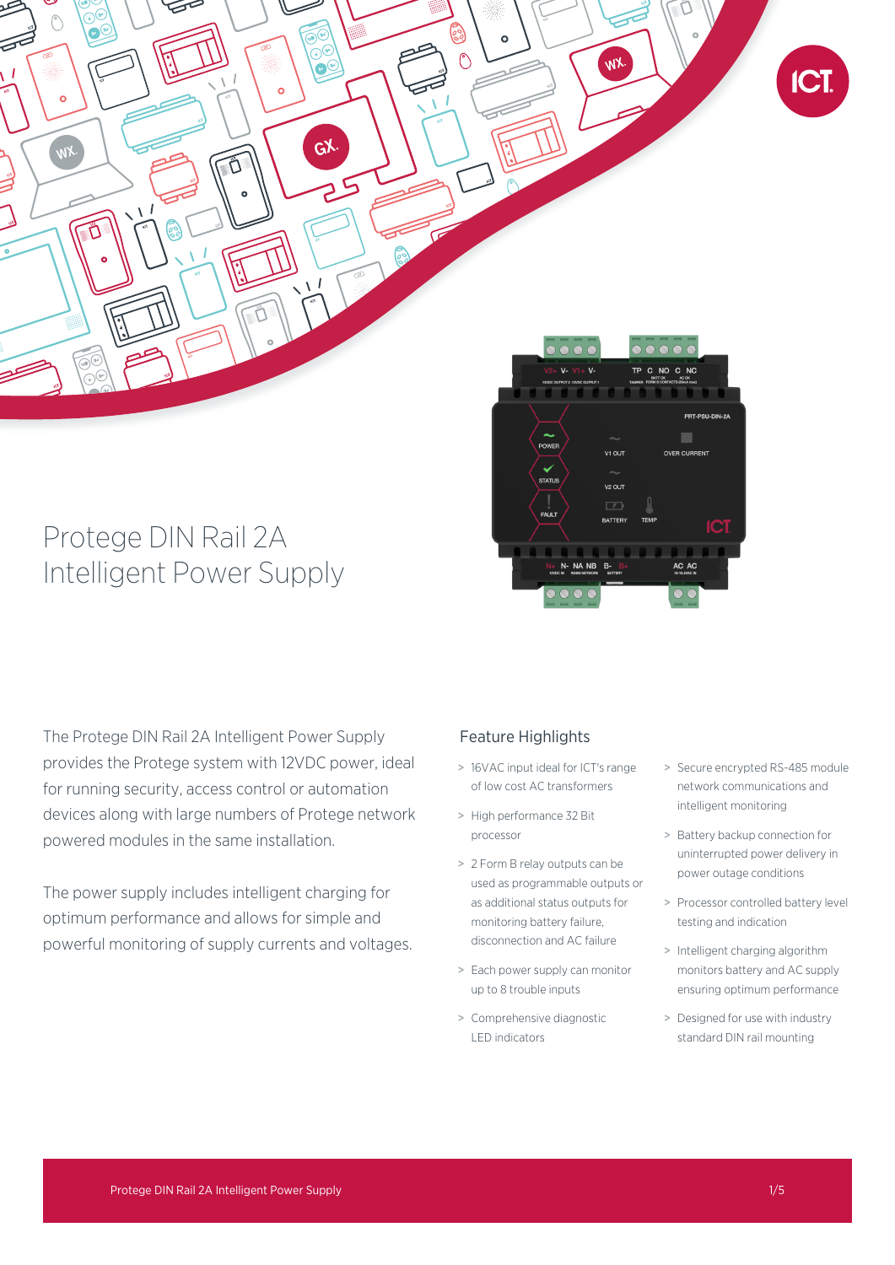

# Protege DIN Rail 2A Intelligent Power Supply

The Protege DIN Rail 2A Intelligent Power Supply provides the Protege system with 12VDC power, ideal for running security, access control or automation devices along with large numbers of Protege network powered modules in the same installation.

The power supply includes intelligent charging for optimum performance and allows for simple and powerful monitoring of supply currents and voltages.

## Feature Highlights

> 16VAC input ideal for ICT's range of low cost AC transformers

v2 OUT

- > High performance 32 Bit processor
- > 2 Form B relay outputs can be used as programmable outputs or as additional status outputs for monitoring battery failure, disconnection and AC failure
- > Each power supply can monitor up to 8 trouble inputs
- > Comprehensive diagnostic LED indicators
- > Secure encrypted RS-485 module network communications and intelligent monitoring
- > Battery backup connection for uninterrupted power delivery in power outage conditions
- > Processor controlled battery level testing and indication
- > Intelligent charging algorithm monitors battery and AC supply ensuring optimum performance
- > Designed for use with industry standard DIN rail mounting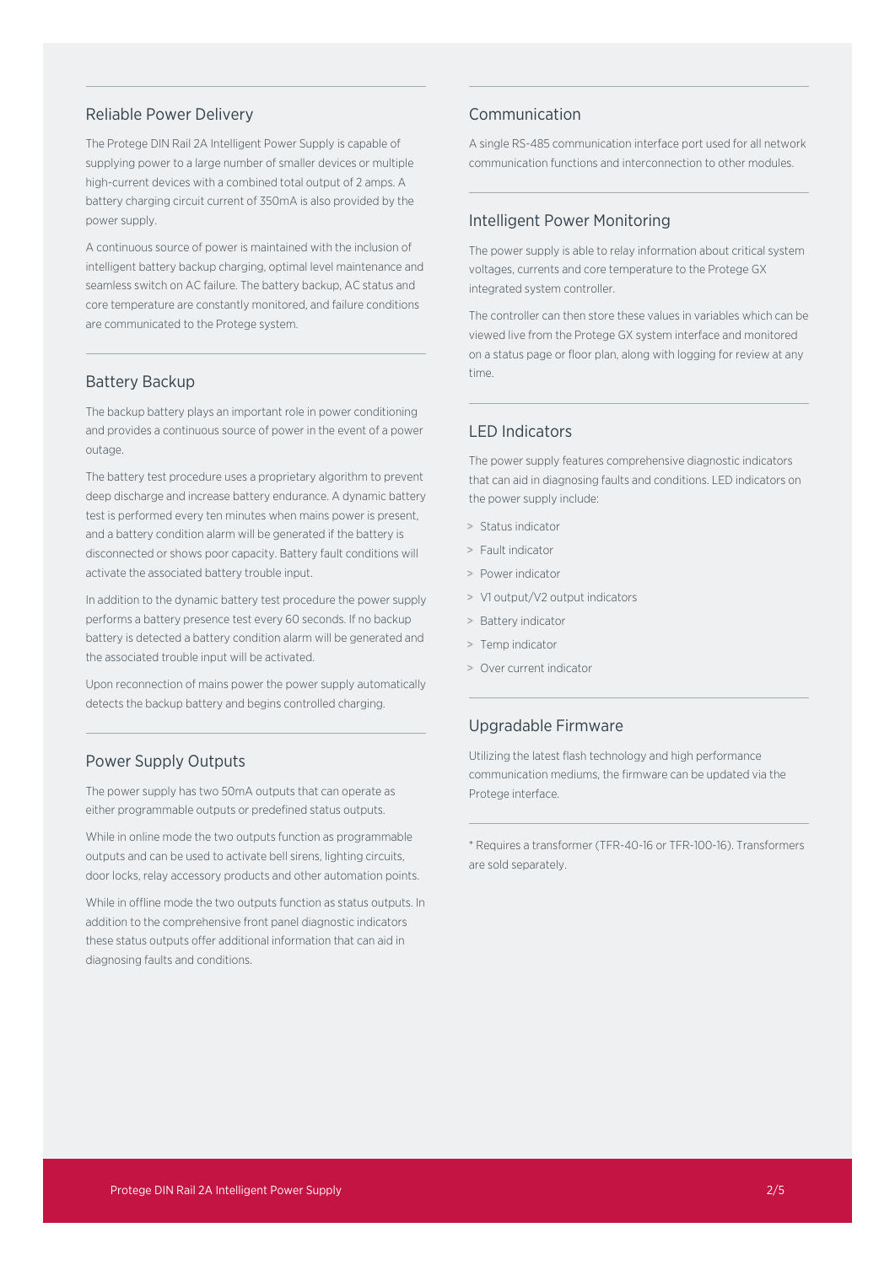### Reliable Power Delivery

The Protege DIN Rail 2A Intelligent Power Supply is capable of supplying power to a large number of smaller devices or multiple high-current devices with a combined total output of 2 amps. A battery charging circuit current of 350mA is also provided by the power supply.

A continuous source of power is maintained with the inclusion of intelligent battery backup charging, optimal level maintenance and seamless switch on AC failure. The battery backup, AC status and core temperature are constantly monitored, and failure conditions are communicated to the Protege system.

### Battery Backup

The backup battery plays an important role in power conditioning and provides a continuous source of power in the event of a power outage.

The battery test procedure uses a proprietary algorithm to prevent deep discharge and increase battery endurance. A dynamic battery test is performed every ten minutes when mains power is present, and a battery condition alarm will be generated if the battery is disconnected or shows poor capacity. Battery fault conditions will activate the associated battery trouble input.

In addition to the dynamic battery test procedure the power supply performs a battery presence test every 60 seconds. If no backup battery is detected a battery condition alarm will be generated and the associated trouble input will be activated.

Upon reconnection of mains power the power supply automatically detects the backup battery and begins controlled charging.

## Power Supply Outputs

The power supply has two 50mA outputs that can operate as either programmable outputs or predefined status outputs.

While in online mode the two outputs function as programmable outputs and can be used to activate bell sirens, lighting circuits, door locks, relay accessory products and other automation points.

While in offline mode the two outputs function as status outputs. In addition to the comprehensive front panel diagnostic indicators these status outputs offer additional information that can aid in diagnosing faults and conditions.

## Communication

A single RS-485 communication interface port used for all network communication functions and interconnection to other modules.

## Intelligent Power Monitoring

The power supply is able to relay information about critical system voltages, currents and core temperature to the Protege GX integrated system controller.

The controller can then store these values in variables which can be viewed live from the Protege GX system interface and monitored on a status page or floor plan, along with logging for review at any time.

## LED Indicators

The power supply features comprehensive diagnostic indicators that can aid in diagnosing faults and conditions. LED indicators on the power supply include:

- > Status indicator
- > Fault indicator
- > Power indicator
- > V1 output/V2 output indicators
- > Battery indicator
- > Temp indicator
- > Over current indicator

## Upgradable Firmware

Utilizing the latest flash technology and high performance communication mediums, the firmware can be updated via the Protege interface.

\* Requires a transformer (TFR-40-16 or TFR-100-16). Transformers are sold separately.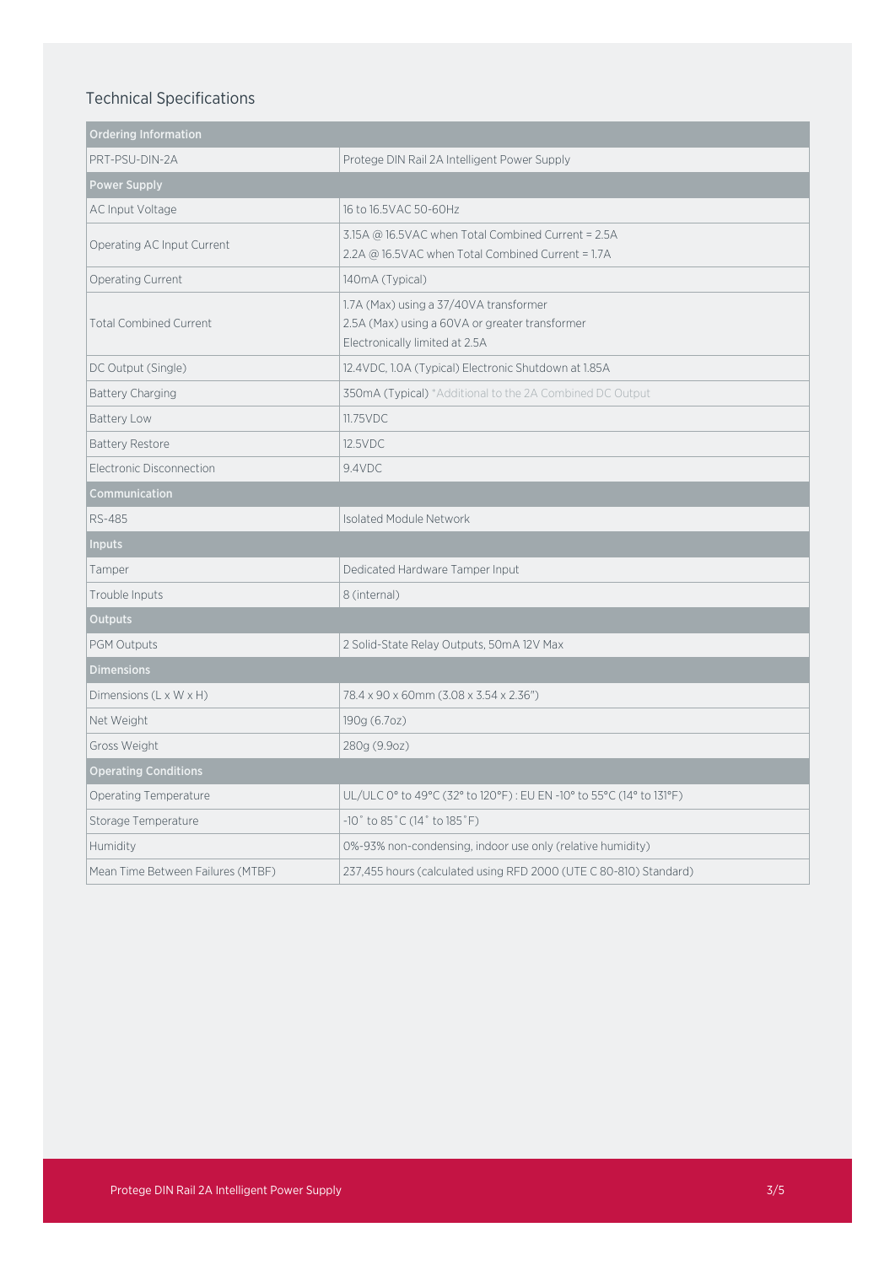# Technical Specifications

| <b>Ordering Information</b>        |                                                                                                                            |
|------------------------------------|----------------------------------------------------------------------------------------------------------------------------|
| PRT-PSU-DIN-2A                     | Protege DIN Rail 2A Intelligent Power Supply                                                                               |
| <b>Power Supply</b>                |                                                                                                                            |
| AC Input Voltage                   | 16 to 16.5VAC 50-60Hz                                                                                                      |
| Operating AC Input Current         | 3.15A @ 16.5VAC when Total Combined Current = 2.5A<br>2.2A @ 16.5VAC when Total Combined Current = 1.7A                    |
| <b>Operating Current</b>           | 140mA (Typical)                                                                                                            |
| <b>Total Combined Current</b>      | 1.7A (Max) using a 37/40VA transformer<br>2.5A (Max) using a 60VA or greater transformer<br>Electronically limited at 2.5A |
| DC Output (Single)                 | 12.4VDC, 1.0A (Typical) Electronic Shutdown at 1.85A                                                                       |
| <b>Battery Charging</b>            | 350mA (Typical) *Additional to the 2A Combined DC Output                                                                   |
| Battery Low                        | 11.75VDC                                                                                                                   |
| <b>Battery Restore</b>             | 12.5VDC                                                                                                                    |
| Electronic Disconnection           | 9.4VDC                                                                                                                     |
| Communication                      |                                                                                                                            |
| RS-485                             | <b>Isolated Module Network</b>                                                                                             |
| Inputs                             |                                                                                                                            |
| Tamper                             | Dedicated Hardware Tamper Input                                                                                            |
| Trouble Inputs                     | 8 (internal)                                                                                                               |
| <b>Outputs</b>                     |                                                                                                                            |
| PGM Outputs                        | 2 Solid-State Relay Outputs, 50mA 12V Max                                                                                  |
| <b>Dimensions</b>                  |                                                                                                                            |
| Dimensions $(L \times W \times H)$ | 78.4 x 90 x 60mm (3.08 x 3.54 x 2.36")                                                                                     |
| Net Weight                         | 190g (6.7oz)                                                                                                               |
| Gross Weight                       | 280g (9.9oz)                                                                                                               |
| <b>Operating Conditions</b>        |                                                                                                                            |
| Operating Temperature              | UL/ULC 0° to 49°C (32° to 120°F) : EU EN -10° to 55°C (14° to 131°F)                                                       |
| Storage Temperature                | $-10^{\circ}$ to 85 $^{\circ}$ C (14 $^{\circ}$ to 185 $^{\circ}$ F)                                                       |
| Humidity                           | 0%-93% non-condensing, indoor use only (relative humidity)                                                                 |
| Mean Time Between Failures (MTBF)  | 237,455 hours (calculated using RFD 2000 (UTE C 80-810) Standard)                                                          |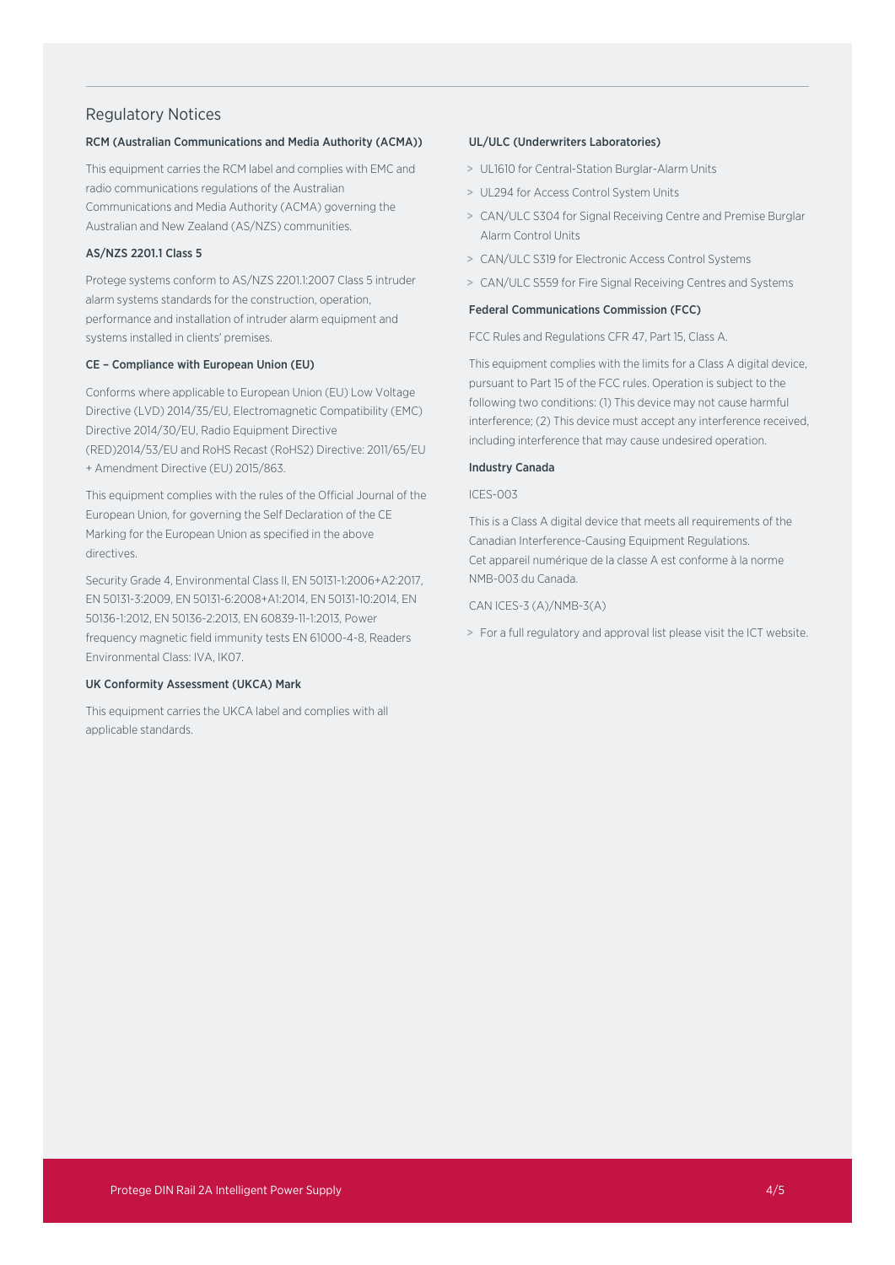## Regulatory Notices

#### RCM (Australian Communications and Media Authority (ACMA))

This equipment carries the RCM label and complies with EMC and radio communications regulations of the Australian Communications and Media Authority (ACMA) governing the Australian and New Zealand (AS/NZS) communities.

#### AS/NZS 2201.1 Class 5

Protege systems conform to AS/NZS 2201.1:2007 Class 5 intruder alarm systems standards for the construction, operation, performance and installation of intruder alarm equipment and systems installed in clients' premises.

#### CE – Compliance with European Union (EU)

Conforms where applicable to European Union (EU) Low Voltage Directive (LVD) 2014/35/EU, Electromagnetic Compatibility (EMC) Directive 2014/30/EU, Radio Equipment Directive (RED)2014/53/EU and RoHS Recast (RoHS2) Directive: 2011/65/EU + Amendment Directive (EU) 2015/863.

This equipment complies with the rules of the Official Journal of the European Union, for governing the Self Declaration of the CE Marking for the European Union as specified in the above directives.

Security Grade 4, Environmental Class II, EN 50131-1:2006+A2:2017, EN 50131-3:2009, EN 50131-6:2008+A1:2014, EN 50131-10:2014, EN 50136-1:2012, EN 50136-2:2013, EN 60839-11-1:2013, Power frequency magnetic field immunity tests EN 61000-4-8, Readers Environmental Class: IVA, IK07.

#### UK Conformity Assessment (UKCA) Mark

This equipment carries the UKCA label and complies with all applicable standards.

#### UL/ULC (Underwriters Laboratories)

- > UL1610 for Central-Station Burglar-Alarm Units
- > UL294 for Access Control System Units
- > CAN/ULC S304 for Signal Receiving Centre and Premise Burglar Alarm Control Units
- > CAN/ULC S319 for Electronic Access Control Systems
- > CAN/ULC S559 for Fire Signal Receiving Centres and Systems

#### Federal Communications Commission (FCC)

FCC Rules and Regulations CFR 47, Part 15, Class A.

This equipment complies with the limits for a Class A digital device, pursuant to Part 15 of the FCC rules. Operation is subject to the following two conditions: (1) This device may not cause harmful interference; (2) This device must accept any interference received, including interference that may cause undesired operation.

#### Industry Canada

#### ICES-003

This is a Class A digital device that meets all requirements of the Canadian Interference-Causing Equipment Regulations. Cet appareil numérique de la classe A est conforme à la norme NMB-003 du Canada.

CAN ICES-3 (A)/NMB-3(A)

> For a full regulatory and approval list please visit the ICT website.